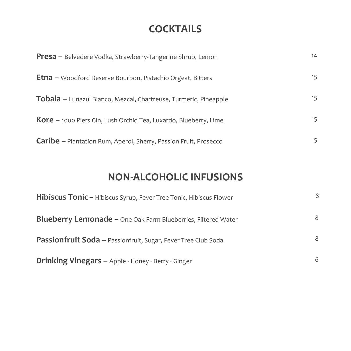#### **COCKTAILS**

| <b>Presa</b> – Belvedere Vodka, Strawberry-Tangerine Shrub, Lemon         | 14 |
|---------------------------------------------------------------------------|----|
| <b>Etna</b> – Woodford Reserve Bourbon, Pistachio Orgeat, Bitters         | 15 |
| Tobala - Lunazul Blanco, Mezcal, Chartreuse, Turmeric, Pineapple          | 15 |
| <b>Kore</b> $-$ 1000 Piers Gin, Lush Orchid Tea, Luxardo, Blueberry, Lime | 15 |
| <b>Caribe –</b> Plantation Rum, Aperol, Sherry, Passion Fruit, Prosecco   | 15 |

#### **NON-ALCOHOLIC INFUSIONS**

| <b>Hibiscus Tonic - Hibiscus Syrup, Fever Tree Tonic, Hibiscus Flower</b> | 8 |
|---------------------------------------------------------------------------|---|
| Blueberry Lemonade - One Oak Farm Blueberries, Filtered Water             | 8 |
| <b>Passionfruit Soda - Passionfruit, Sugar, Fever Tree Club Soda</b>      | 8 |
| Drinking Vinegars - Apple · Honey · Berry · Ginger                        | 6 |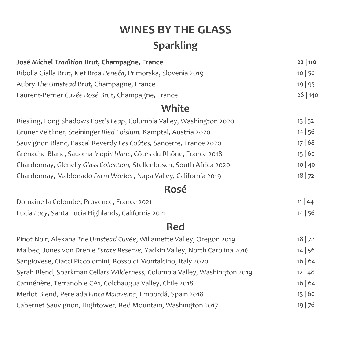# **WINES BY THE GLASS Sparkling**

| José Michel Tradition Brut, Champagne, France                        | 22 110  |  |
|----------------------------------------------------------------------|---------|--|
| Ribolla Gialla Brut, Klet Brda Peneča, Primorska, Slovenia 2019      | 10 50   |  |
| Aubry The Umstead Brut, Champagne, France                            | 19   95 |  |
| Laurent-Perrier Cuvée Rosé Brut, Champagne, France                   | 28 140  |  |
| White                                                                |         |  |
| Riesling, Long Shadows Poet's Leap, Columbia Valley, Washington 2020 | 13 52   |  |

| Grüner Veltliner, Steininger Ried Loisium, Kamptal, Austria 2020       | 14 56     |
|------------------------------------------------------------------------|-----------|
| Sauvignon Blanc, Pascal Reverdy Les Coûtes, Sancerre, France 2020      | 17 68     |
| Grenache Blanc, Sauoma Inopia blanc, Côtes du Rhône, France 2018       | 15 60     |
| Chardonnay, Glenelly Glass Collection, Stellenbosch, South Africa 2020 | 10 40     |
| Chardonnay, Maldonado Farm Worker, Napa Valley, California 2019        | $18$   72 |

#### **Rosé**

| Domaine la Colombe, Provence, France 2021          | $11 \mid 44$ |
|----------------------------------------------------|--------------|
| Lucia Lucy, Santa Lucia Highlands, California 2021 | 14 56        |

### **Red**

| Pinot Noir, Alexana The Umstead Cuvée, Willamette Valley, Oregon 2019       | $18$   72 |
|-----------------------------------------------------------------------------|-----------|
| Malbec, Jones von Drehle Estate Reserve, Yadkin Valley, North Carolina 2016 | 14 56     |
| Sangiovese, Ciacci Piccolomini, Rosso di Montalcino, Italy 2020             | 16 64     |
| Syrah Blend, Sparkman Cellars Wilderness, Columbia Valley, Washington 2019  | 12   48   |
| Carménère, Terranoble CA1, Colchaugua Valley, Chile 2018                    | 16 64     |
| Merlot Blend, Perelada Finca Malaveïna, Empordá, Spain 2018                 | 15 60     |
| Cabernet Sauvignon, Hightower, Red Mountain, Washington 2017                | 19 76     |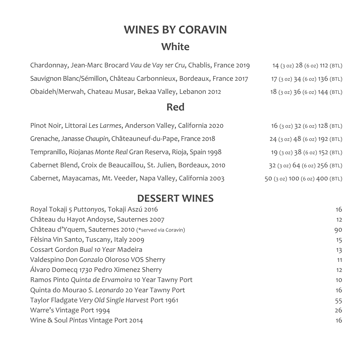# **WINES BY CORAVIN White**

| Chardonnay, Jean-Marc Brocard Vau de Vay 1er Cru, Chablis, France 2019 | 14 (3 oz) 28 (6 oz) 112 (BTL) |
|------------------------------------------------------------------------|-------------------------------|
| Sauvignon Blanc/Sémillon, Château Carbonnieux, Bordeaux, France 2017   | 17 (3 oz) 34 (6 oz) 136 (BTL) |
| Obaideh/Merwah, Chateau Musar, Bekaa Valley, Lebanon 2012              | 18 (3 oz) 36 (6 oz) 144 (BTL) |

#### **Red**

| Pinot Noir, Littorai Les Larmes, Anderson Valley, California 2020 | 16 (3 oz) 32 (6 oz) 128 (BTL)  |
|-------------------------------------------------------------------|--------------------------------|
| Grenache, Janasse Chaupin, Châteauneuf-du-Pape, France 2018       | 24 (3 oz) 48 (6 oz) 192 (BTL)  |
| Tempranillo, Riojanas Monte Real Gran Reserva, Rioja, Spain 1998  | 19 (3 oz) 38 (6 oz) 152 (BTL)  |
| Cabernet Blend, Croix de Beaucaillou, St. Julien, Bordeaux, 2010  | 32 (3 oz) 64 (6 oz) 256 (BTL)  |
| Cabernet, Mayacamas, Mt. Veeder, Napa Valley, California 2003     | 50 (3 oz) 100 (6 oz) 400 (BTL) |

#### **DESSERT WINES**

| Royal Tokaji 5 Puttonyos, Tokaji Aszú 2016            | 16                |
|-------------------------------------------------------|-------------------|
| Château du Hayot Andoyse, Sauternes 2007              | 12                |
| Château d'Yquem, Sauternes 2010 (*served via Coravin) | 90                |
| Fèlsina Vin Santo, Tuscany, Italy 2009                | 15                |
| Cossart Gordon Bual 10 Year Madeira                   | 13                |
| Valdespino Don Gonzalo Oloroso VOS Sherry             | 11                |
| Álvaro Domecq 1730 Pedro Ximenez Sherry               | $12 \overline{ }$ |
| Ramos Pinto Quinta de Ervamoira 10 Year Tawny Port    | 10 <sup>°</sup>   |
| Quinta do Mourao S. Leonardo 20 Year Tawny Port       | 16                |
| Taylor Fladgate Very Old Single Harvest Port 1961     | 55                |
| Warre's Vintage Port 1994                             | 26                |
| Wine & Soul Pintas Vintage Port 2014                  | 16                |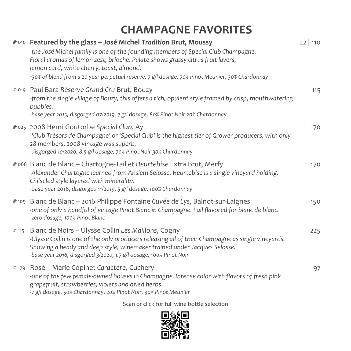# **CHAMPAGNE FAVORITES**

|       | #1010 Featured by the glass - José Michel Tradition Brut, Moussy<br>-the José Michel family is one of the founding members of Special Club Champagne.<br>Floral aromas of lemon zest, brioche. Palate shows grassy citrus fruit layers,<br>lemon curd, white cherry, toast, almond.<br>-30% of blend from a 20 year perpetual reserve, 7 g/l dosage, 70% Pinot Meunier, 30% Chardonnay | $22 \mid 110$ |
|-------|----------------------------------------------------------------------------------------------------------------------------------------------------------------------------------------------------------------------------------------------------------------------------------------------------------------------------------------------------------------------------------------|---------------|
|       | #1019 Paul Bara Réserve Grand Cru Brut, Bouzy<br>-from the single village of Bouzy, this offers a rich, opulent style framed by crisp, mouthwatering<br>bubbles.<br>-base year 2013, disgorged 07/2019, 7 g/l dosage, 80% Pinot Noir 20% Chardonnay                                                                                                                                    | 115           |
|       | #1025 2008 Henri Goutorbe Special Club, Ay<br>-'Club Trésors de Champagne' or 'Special Club' is the highest tier of Grower producers, with only<br>28 members, 2008 vintage was superb.<br>-disgorged 10/2020, 8.5 g/l dosage, 70% Pinot Noir 30% Chardonnay                                                                                                                           | 170           |
|       | #1066 Blanc de Blanc – Chartogne-Taillet Heurtebise Extra Brut, Merfy<br>-Alexander Chartogne learned from Anslem Selosse. Heurtebise is a single vineyard holding.<br>Chilseled style layered with minerality.<br>-base year 2016, disgorged 11/2019, 5 g/l dosage, 100% Chardonnay                                                                                                   | 170           |
|       | #1109 Blanc de Blanc - 2016 Philippe Fontaine Cuvée de Lys, Balnot-sur-Laignes<br>-one of only a handful of vintage Pinot Blanc in Champagne. Full flavored for blanc de blanc.<br>-zero dosage, 100% Pinot Blanc                                                                                                                                                                      | 150           |
| #1115 | Blanc de Noirs - Ulysse Collin Les Maillons, Cogny<br>-Ulysse Collin is one of the only producers releasing all of their Champagne as single vineyards.<br>Showing a heady and deep style, winemaker trained under Jacques Selosse.<br>-base year 2016, disgorged 3/2020, 1.7 g/l dosage, 100% Pinot Noir                                                                              | 225           |
|       | #1179 Rosé – Marie Copinet Caractère, Cuchery<br>-one of the few female-owned houses in Champagne. Intense color with flavors of fresh pink<br>grapefruit, strawberries, violets and dried herbs.<br>-7 g/l dosage, 50% Chardonnay, 20% Pinot Noir, 30% Pinot Meunier                                                                                                                  | 97            |

Scan or click for full wine bottle selection

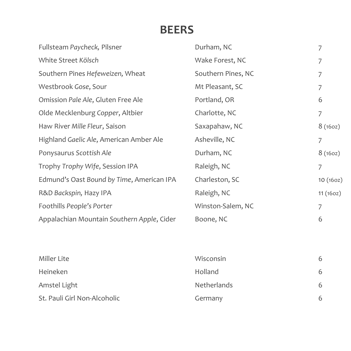### **BEERS**

| Fullsteam Paycheck, Pilsner                | Durham, NC         | $\overline{7}$ |
|--------------------------------------------|--------------------|----------------|
| White Street Kölsch                        | Wake Forest, NC    | $\overline{7}$ |
| Southern Pines Hefeweizen, Wheat           | Southern Pines, NC | $\overline{7}$ |
| Westbrook Gose, Sour                       | Mt Pleasant, SC    | 7              |
| Omission Pale Ale, Gluten Free Ale         | Portland, OR       | 6              |
| Olde Mecklenburg Copper, Altbier           | Charlotte, NC      | $\overline{7}$ |
| Haw River Mille Fleur, Saison              | Saxapahaw, NC      | 8(160z)        |
| Highland Gaelic Ale, American Amber Ale    | Asheville, NC      | 7              |
| Ponysaurus Scottish Ale                    | Durham, NC         | 8(160z)        |
| Trophy Trophy Wife, Session IPA            | Raleigh, NC        | $\overline{7}$ |
| Edmund's Oast Bound by Time, American IPA  | Charleston, SC     | 10(160z)       |
| R&D Backspin, Hazy IPA                     | Raleigh, NC        | 11(160z)       |
| Foothills People's Porter                  | Winston-Salem, NC  | $\overline{7}$ |
| Appalachian Mountain Southern Apple, Cider | Boone, NC          | 6              |
|                                            |                    |                |
|                                            |                    |                |
| <b>Miller Lite</b>                         | Wisconsin          | 6              |
| Heineken                                   | Holland            | 6              |
| Amstel Light                               | Netherlands        | 6              |
| St. Pauli Girl Non-Alcoholic               | Germany            | 6              |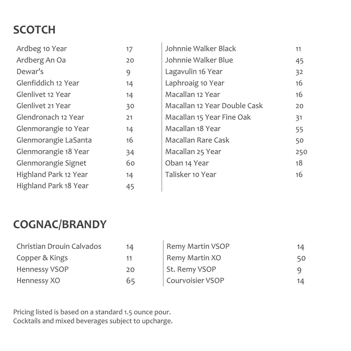# **SCOTCH**

| Ardbeg 10 Year        | 17 | Johnnie Walker Black         | 11  |
|-----------------------|----|------------------------------|-----|
| Ardberg An Oa         | 20 | Johnnie Walker Blue          | 45  |
| Dewar's               | 9  | Lagavulin 16 Year            | 32  |
| Glenfiddich 12 Year   | 14 | Laphroaig 10 Year            | 16  |
| Glenlivet 12 Year     | 14 | Macallan 12 Year             | 16  |
| Glenlivet 21 Year     | 30 | Macallan 12 Year Double Cask | 20  |
| Glendronach 12 Year   | 21 | Macallan 15 Year Fine Oak    | 31  |
| Glenmorangie 10 Year  | 14 | Macallan 18 Year             | 55  |
| Glenmorangie LaSanta  | 16 | <b>Macallan Rare Cask</b>    | 50  |
| Glenmorangie 18 Year  | 34 | Macallan 25 Year             | 250 |
| Glenmorangie Signet   | 60 | Oban 14 Year                 | 18  |
| Highland Park 12 Year | 14 | Talisker 10 Year             | 16  |
| Highland Park 18 Year | 45 |                              |     |

## **COGNAC/BRANDY**

| Christian Drouin Calvados | 14 | <b>Remy Martin VSOP</b> | 14. |
|---------------------------|----|-------------------------|-----|
| Copper & Kings            | 11 | Remy Martin XO          | 50  |
| Hennessy VSOP             | 20 | St. Remy VSOP           |     |
| Hennessy XO               | 65 | <b>Courvoisier VSOP</b> | 14  |

Pricing listed is based on a standard 1.5 ounce pour. Cocktails and mixed beverages subject to upcharge.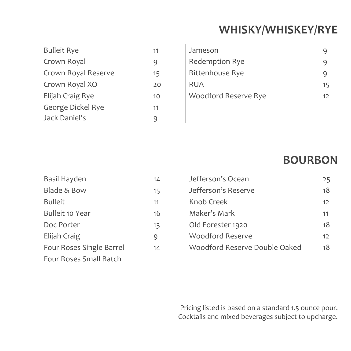## **WHISKY/WHISKEY/RYE**

| <b>Bulleit Rye</b>  | 11 |
|---------------------|----|
| Crown Royal         | q  |
| Crown Royal Reserve | 15 |
| Crown Royal XO      | 20 |
| Elijah Craig Rye    | 10 |
| George Dickel Rye   | 11 |
| Jack Daniel's       |    |

| <b>Bulleit Rye</b>  | 11 | Jameson               |    |
|---------------------|----|-----------------------|----|
| Crown Royal         |    | <b>Redemption Rye</b> | 9  |
| Crown Royal Reserve | 15 | Rittenhouse Rye       | q  |
| Crown Royal XO      | 20 | <b>RUA</b>            | 15 |
| Elijah Craig Rye    | 10 | Woodford Reserve Rye  | 12 |
|                     |    |                       |    |

### **BOURBON**

| Basil Hayden             | 14 |
|--------------------------|----|
|                          |    |
| Blade & Bow              | 15 |
| <b>Bulleit</b>           | 11 |
| <b>Bulleit 10 Year</b>   | 16 |
| Doc Porter               | 13 |
| Elijah Craig             | 9  |
| Four Roses Single Barrel | 14 |
| Four Roses Small Batch   |    |

| Basil Hayden                    | 14 | Jefferson's Ocean             | 25              |
|---------------------------------|----|-------------------------------|-----------------|
| <b>Blade &amp; Bow</b>          | 15 | Jefferson's Reserve           | 18              |
| <b>Bulleit</b>                  | 11 | Knob Creek                    | 12 <sup>2</sup> |
| <b>Bulleit 10 Year</b>          | 16 | Maker's Mark                  | 11              |
| Doc Porter                      | 13 | Old Forester 1920             | 18              |
| Elijah Craig                    | 9  | <b>Woodford Reserve</b>       | 12 <sup>2</sup> |
| <b>Four Roses Single Barrel</b> | 14 | Woodford Reserve Double Oaked | 18              |
|                                 |    |                               |                 |

Pricing listed is based on a standard 1.5 ounce pour. Cocktails and mixed beverages subject to upcharge.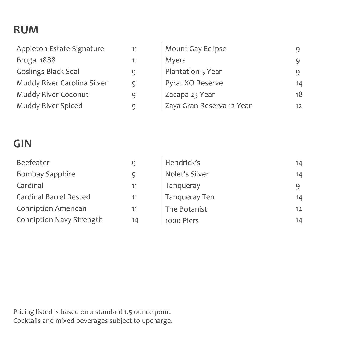## **RUM**

| Appleton Estate Signature   | 11 | Mount Gay Eclipse         |                 |
|-----------------------------|----|---------------------------|-----------------|
| Brugal 1888                 | 11 | Myers                     |                 |
| <b>Goslings Black Seal</b>  | q  | Plantation 5 Year         |                 |
| Muddy River Carolina Silver | q  | Pyrat XO Reserve          | 14              |
| Muddy River Coconut         | q  | Zacapa 23 Year            | 18              |
| Muddy River Spiced          | q  | Zaya Gran Reserva 12 Year | 12 <sup>2</sup> |

### **GIN**

| Beefeater                       | q  | Hendrick's           | 14                |
|---------------------------------|----|----------------------|-------------------|
| <b>Bombay Sapphire</b>          | q  | Nolet's Silver       | 14                |
| Cardinal                        | 11 | Tanqueray            |                   |
| <b>Cardinal Barrel Rested</b>   | 11 | <b>Tanqueray Ten</b> | 14                |
| <b>Conniption American</b>      | 11 | The Botanist         | $12 \overline{ }$ |
| <b>Conniption Navy Strength</b> | 14 | 1000 Piers           | 14                |

Pricing listed is based on a standard 1.5 ounce pour. Cocktails and mixed beverages subject to upcharge.